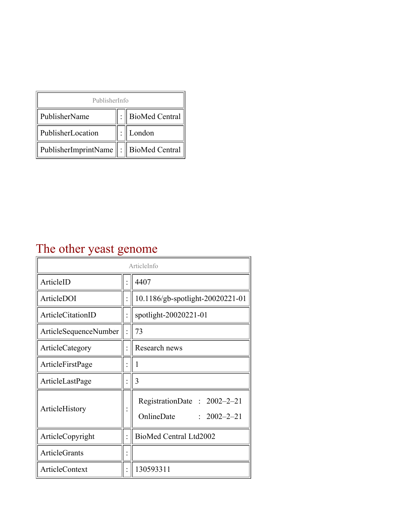| PublisherInfo                                   |  |                    |  |  |
|-------------------------------------------------|--|--------------------|--|--|
| PublisherName                                   |  | :   BioMed Central |  |  |
| PublisherLocation                               |  | London             |  |  |
| PublisherImprintName $\ \cdot\ $ BioMed Central |  |                    |  |  |

## The other yeast genome

| ArticleInfo           |  |                                                                |
|-----------------------|--|----------------------------------------------------------------|
| ArticleID             |  | 4407                                                           |
| ArticleDOI            |  | 10.1186/gb-spotlight-20020221-01                               |
| ArticleCitationID     |  | spotlight-20020221-01                                          |
| ArticleSequenceNumber |  | 73                                                             |
| ArticleCategory       |  | Research news                                                  |
| ArticleFirstPage      |  | 1                                                              |
| ArticleLastPage       |  | 3                                                              |
| ArticleHistory        |  | RegistrationDate: 2002-2-21<br>OnlineDate<br>$: 2002 - 2 - 21$ |
| ArticleCopyright      |  | BioMed Central Ltd2002                                         |
| <b>ArticleGrants</b>  |  |                                                                |
| ArticleContext        |  | 130593311                                                      |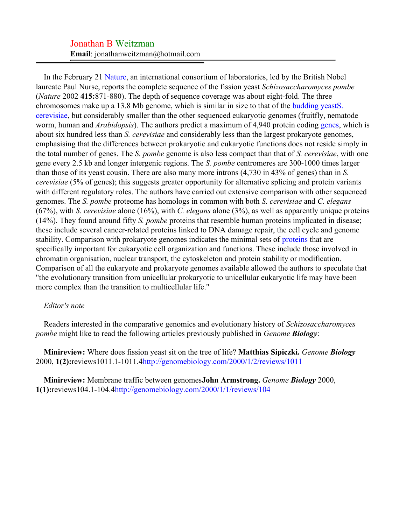## Jonathan B Weitzman **Email**: jonathanweitzman@hotmail.com

In the February 21 [Nature,](#page-2-0) an international consortium of laboratories, led by the British Nobel laureate Paul Nurse, reports the complete sequence of the fission yeast *Schizosaccharomyces pombe* (*Nature* 2002 **415:**871-880). The depth of sequence coverage was about eight-fold. The three chromosomes make up a 13.8 Mb genome, which is similar in size to that of the [budding yeastS.](#page-2-1) [cerevisiae,](#page-2-1) but considerably smaller than the other sequenced eukaryotic genomes (fruitfly, nematode worm, human and *Arabidopsis*). The authors predict a maximum of 4,940 protein coding [genes](#page-2-2), which is about six hundred less than *S. cerevisiae* and considerably less than the largest prokaryote genomes, emphasising that the differences between prokaryotic and eukaryotic functions does not reside simply in the total number of genes. The *S. pombe* genome is also less compact than that of *S. cerevisiae*, with one gene every 2.5 kb and longer intergenic regions. The *S. pombe* centromeres are 300-1000 times larger than those of its yeast cousin. There are also many more introns (4,730 in 43% of genes) than in *S. cerevisiae* (5% of genes); this suggests greater opportunity for alternative splicing and protein variants with different regulatory roles. The authors have carried out extensive comparison with other sequenced genomes. The *S. pombe* proteome has homologs in common with both *S. cerevisiae* and *C. elegans* (67%), with *S. cerevisiae* alone (16%), with *C. elegans* alone (3%), as well as apparently unique proteins (14%). They found around fifty *S. pombe* proteins that resemble human proteins implicated in disease; these include several cancer-related proteins linked to DNA damage repair, the cell cycle and genome stability. Comparison with prokaryote genomes indicates the minimal sets of [proteins](#page-2-3) that are specifically important for eukaryotic cell organization and functions. These include those involved in chromatin organisation, nuclear transport, the cytoskeleton and protein stability or modification. Comparison of all the eukaryote and prokaryote genomes available allowed the authors to speculate that "the evolutionary transition from unicellular prokaryotic to unicellular eukaryotic life may have been more complex than the transition to multicellular life."

## *Editor's note*

Readers interested in the comparative genomics and evolutionary history of *Schizosaccharomyces pombe* might like to read the following articles previously published in *Genome Biology*:

**Minireview:** Where does fission yeast sit on the tree of life? **Matthias Sipiczki.** *Genome Biology* 2000, **1(2):**reviews1011.1-1011.[4http://genomebiology.com/2000/1/2/reviews/1011](#page-2-4)

**Minireview:** Membrane traffic between genomes**John Armstrong.** *Genome Biology* 2000, **1(1):**reviews104.1-104.[4http://genomebiology.com/2000/1/1/reviews/104](#page-2-5)